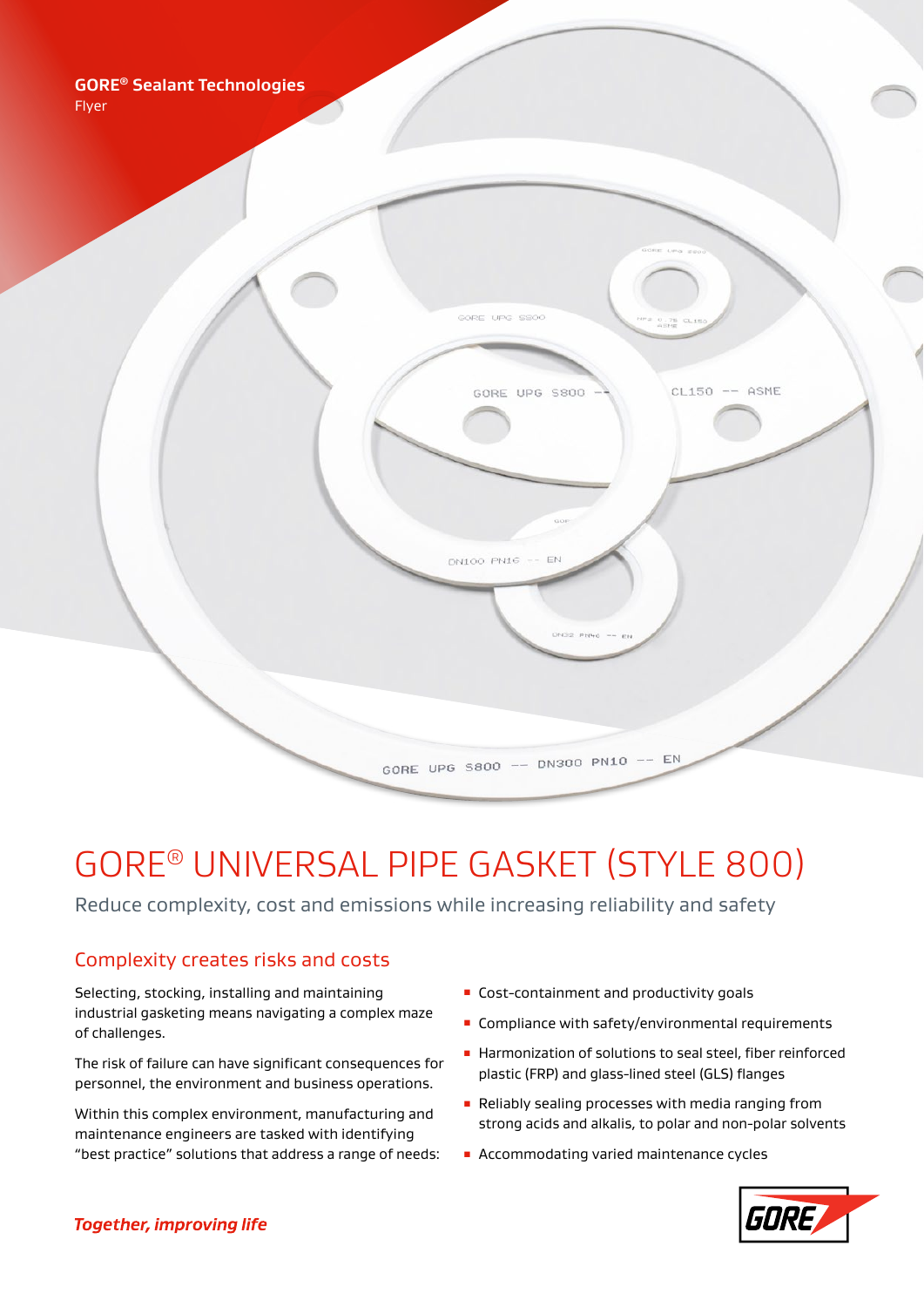

# GORE® UNIVERSAL PIPE GASKET (STYLE 800)

Reduce complexity, cost and emissions while increasing reliability and safety

# Complexity creates risks and costs

Selecting, stocking, installing and maintaining industrial gasketing means navigating a complex maze of challenges.

The risk of failure can have significant consequences for personnel, the environment and business operations.

Within this complex environment, manufacturing and maintenance engineers are tasked with identifying "best practice" solutions that address a range of needs:

- **EXECOPTED EXECOPTER COST-CONTENT** and productivity goals
- **EX Compliance with safety/environmental requirements**
- Harmonization of solutions to seal steel, fiber reinforced plastic (FRP) and glass-lined steel (GLS) flanges
- Reliably sealing processes with media ranging from strong acids and alkalis, to polar and non-polar solvents
- Accommodating varied maintenance cycles

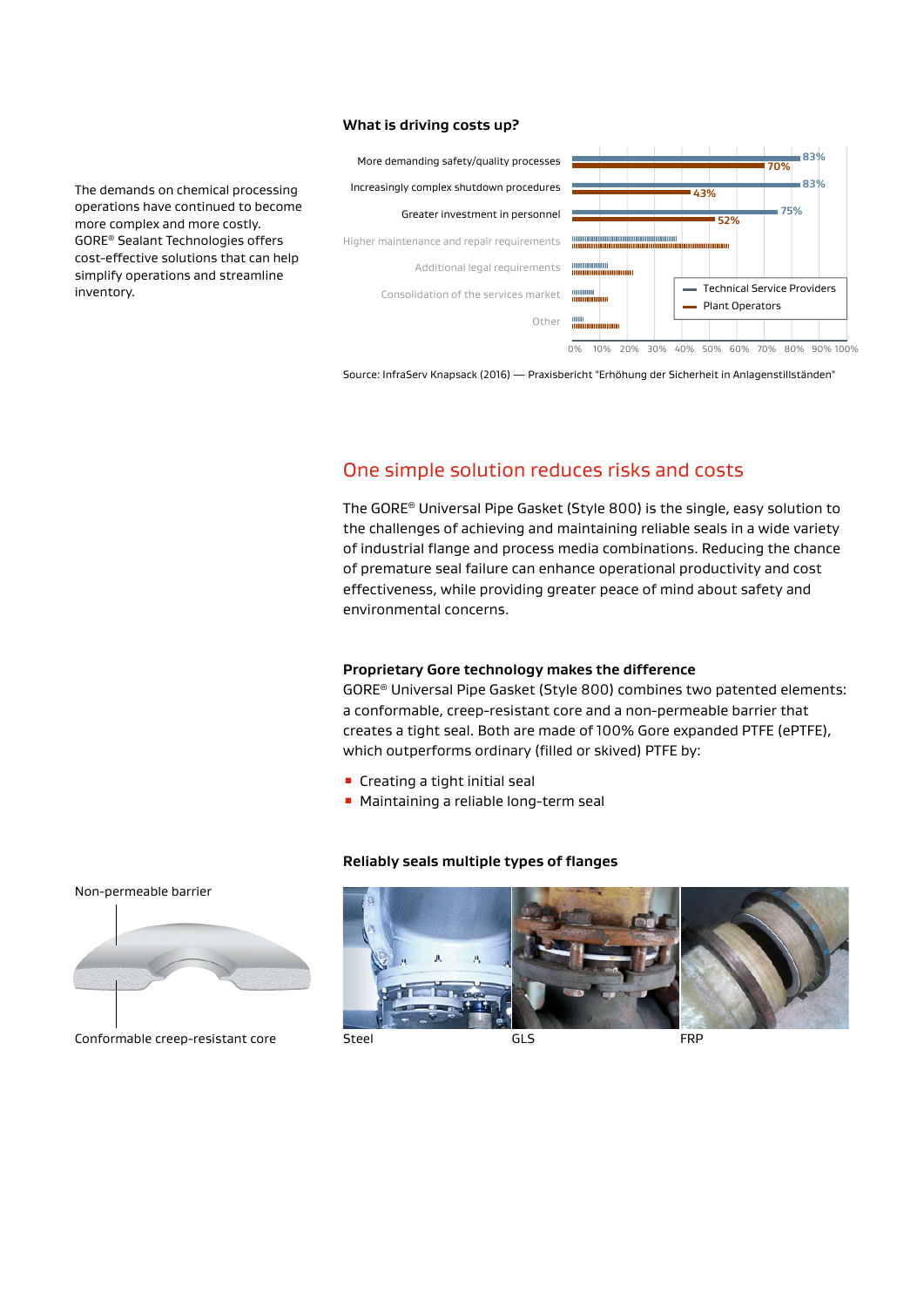#### **What is driving costs up?**

The demands on chemical processing operations have continued to become more complex and more costly. GORE® Sealant Technologies offers cost-effective solutions that can help simplify operations and streamline inventory.



Source: InfraServ Knapsack (2016) — Praxisbericht "Erhöhung der Sicherheit in Anlagenstillständen"

## One simple solution reduces risks and costs

The GORE® Universal Pipe Gasket (Style 800) is the single, easy solution to the challenges of achieving and maintaining reliable seals in a wide variety of industrial flange and process media combinations. Reducing the chance of premature seal failure can enhance operational productivity and cost effectiveness, while providing greater peace of mind about safety and environmental concerns.

#### **Proprietary Gore technology makes the difference**

GORE® Universal Pipe Gasket (Style 800) combines two patented elements: a conformable, creep-resistant core and a non-permeable barrier that creates a tight seal. Both are made of 100% Gore expanded PTFE (ePTFE), which outperforms ordinary (filled or skived) PTFE by:

- **E** Creating a tight initial seal
- Maintaining a reliable long-term seal

#### **Reliably seals multiple types of flanges**





Conformable creep-resistant core Steel Steel GLS GLS FRP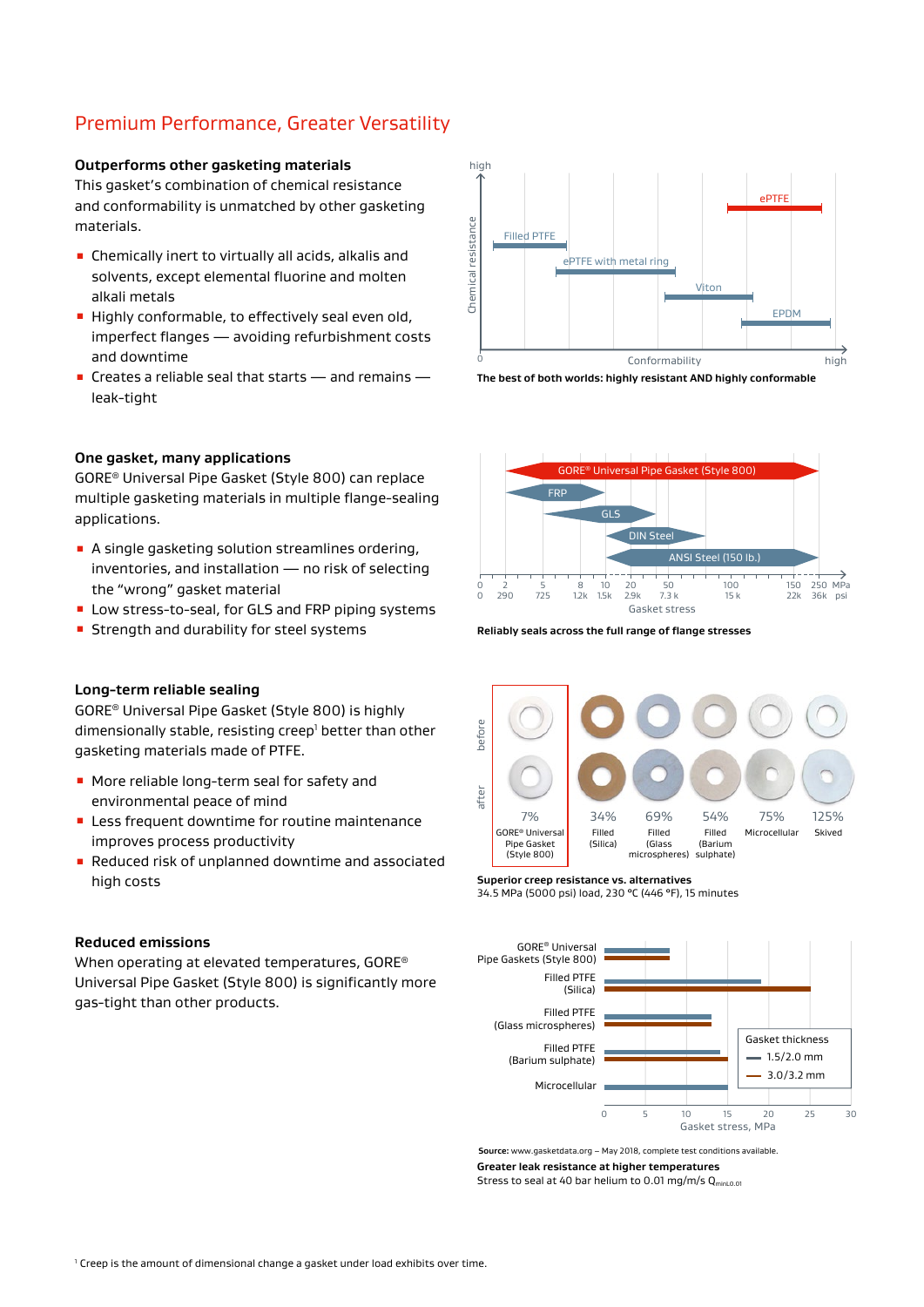# Premium Performance, Greater Versatility

#### **Outperforms other gasketing materials**

This gasket's combination of chemical resistance and conformability is unmatched by other gasketing materials.

- Chemically inert to virtually all acids, alkalis and solvents, except elemental fluorine and molten alkali metals
- **E** Highly conformable, to effectively seal even old, imperfect flanges — avoiding refurbishment costs and downtime
- $\blacksquare$  Creates a reliable seal that starts and remains leak-tight



GORE® Universal Pipe Gasket (Style 800) can replace multiple gasketing materials in multiple flange-sealing applications.

- A single gasketing solution streamlines ordering, inventories, and installation — no risk of selecting the "wrong" gasket material
- Low stress-to-seal, for GLS and FRP piping systems
- **EXTENGTHE** Strength and durability for steel systems

## **Long-term reliable sealing**

GORE® Universal Pipe Gasket (Style 800) is highly dimensionally stable, resisting creep<sup>1</sup> better than other gasketing materials made of PTFE.

- More reliable long-term seal for safety and environmental peace of mind
- **EXEC** Less frequent downtime for routine maintenance improves process productivity
- Reduced risk of unplanned downtime and associated high costs

#### **Reduced emissions**

When operating at elevated temperatures, GORE® Universal Pipe Gasket (Style 800) is significantly more gas-tight than other products.







**Reliably seals across the full range of flange stresses**



**Superior creep resistance vs. alternatives**





**Source:** www.gasketdata.org – May 2018, complete test conditions available.

**Greater leak resistance at higher temperatures** 

Stress to seal at 40 bar helium to 0.01 mg/m/s  $Q_{min,0.01}$